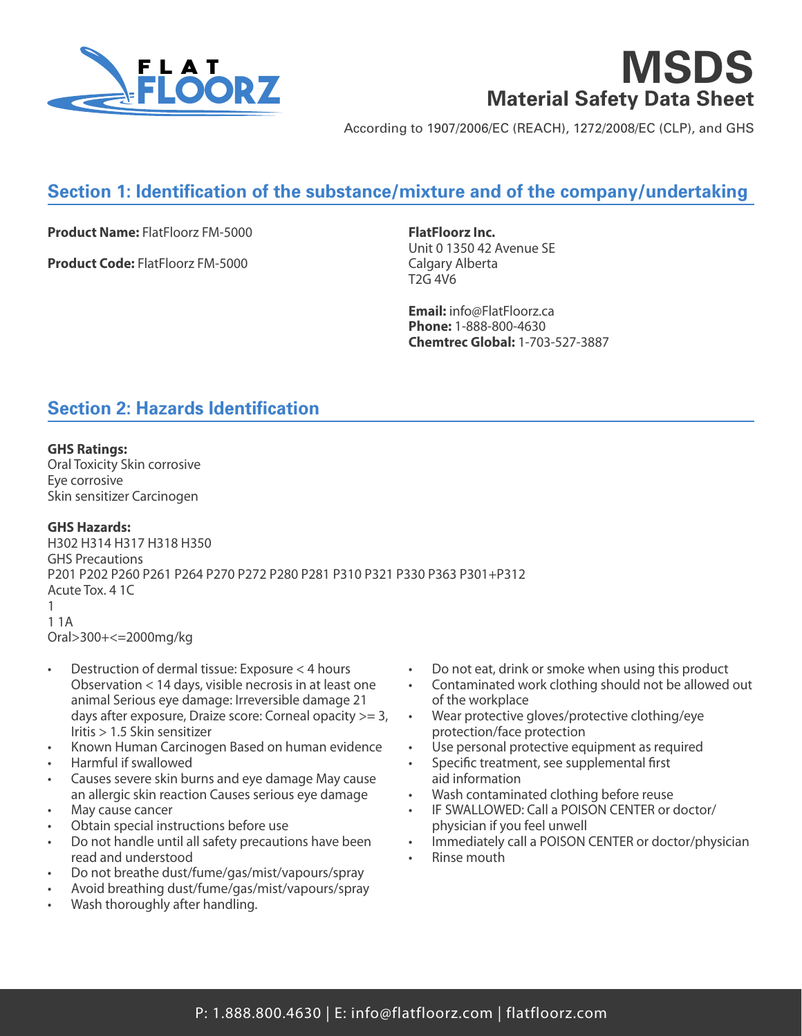

**MSDS Material Safety Data Sheet**

According to 1907/2006/EC (REACH), 1272/2008/EC (CLP), and GHS

# **Section 1: Identification of the substance/mixture and of the company/undertaking**

**Product Name:** FlatFloorz FM-5000

**Product Code:** FlatFloorz FM-5000

**FlatFloorz Inc.** Unit 0 1350 42 Avenue SE Calgary Alberta T2G 4V6

**Email:** info@FlatFloorz.ca **Phone:** 1-888-800-4630 **Chemtrec Global:** 1-703-527-3887

## **Section 2: Hazards Identification**

#### **GHS Ratings:**

Oral Toxicity Skin corrosive Eye corrosive Skin sensitizer Carcinogen

#### **GHS Hazards:**

H302 H314 H317 H318 H350 GHS Precautions P201 P202 P260 P261 P264 P270 P272 P280 P281 P310 P321 P330 P363 P301+P312 Acute Tox. 4 1C 1 1 1A Oral>300+<=2000mg/kg

- Destruction of dermal tissue: Exposure < 4 hours Observation < 14 days, visible necrosis in at least one animal Serious eye damage: Irreversible damage 21 days after exposure, Draize score: Corneal opacity >= 3, Iritis > 1.5 Skin sensitizer
- Known Human Carcinogen Based on human evidence
- Harmful if swallowed
- Causes severe skin burns and eye damage May cause an allergic skin reaction Causes serious eye damage
- May cause cancer
- Obtain special instructions before use
- Do not handle until all safety precautions have been read and understood
- Do not breathe dust/fume/gas/mist/vapours/spray
- Avoid breathing dust/fume/gas/mist/vapours/spray
- Wash thoroughly after handling.
- Do not eat, drink or smoke when using this product
- Contaminated work clothing should not be allowed out of the workplace
- Wear protective gloves/protective clothing/eye protection/face protection
- Use personal protective equipment as required
- Specific treatment, see supplemental first aid information
- Wash contaminated clothing before reuse
- IF SWALLOWED: Call a POISON CENTER or doctor/ physician if you feel unwell
- Immediately call a POISON CENTER or doctor/physician
- Rinse mouth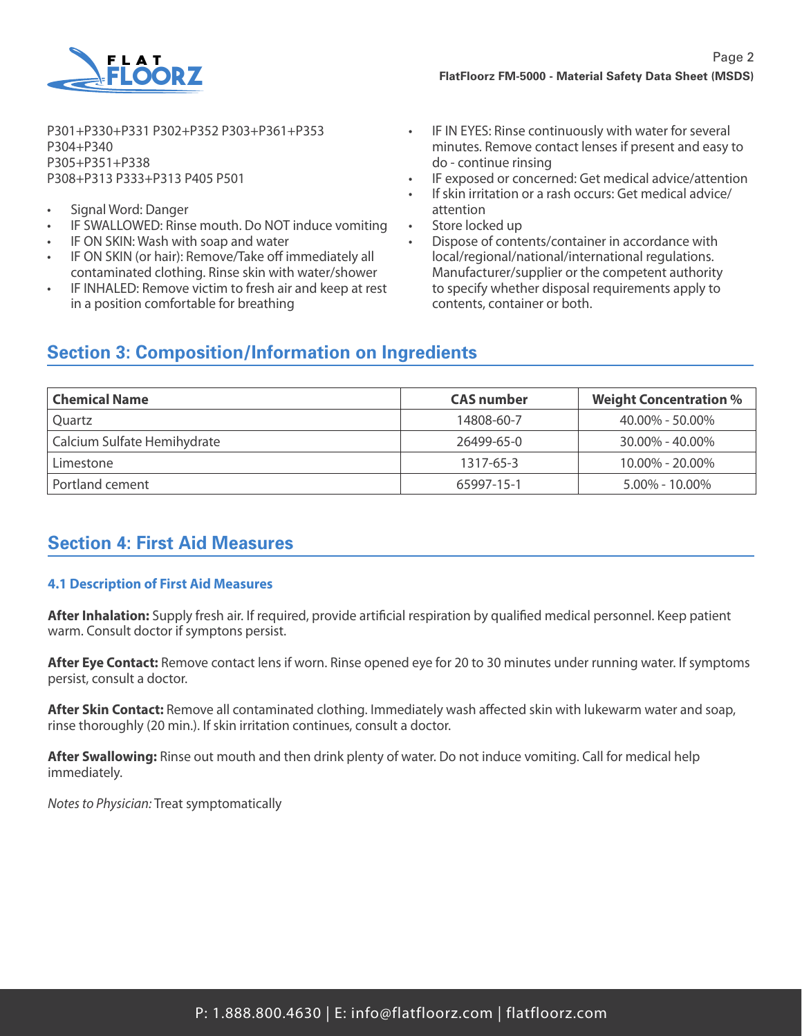

P301+P330+P331 P302+P352 P303+P361+P353 P304+P340 P305+P351+P338 P308+P313 P333+P313 P405 P501

- Signal Word: Danger
- IF SWALLOWED: Rinse mouth. Do NOT induce vomiting
- IF ON SKIN: Wash with soap and water
- IF ON SKIN (or hair): Remove/Take off immediately all contaminated clothing. Rinse skin with water/shower
- IF INHALED: Remove victim to fresh air and keep at rest in a position comfortable for breathing
- IF IN EYES: Rinse continuously with water for several minutes. Remove contact lenses if present and easy to do - continue rinsing
- IF exposed or concerned: Get medical advice/attention
- If skin irritation or a rash occurs: Get medical advice/ attention
- Store locked up
- Dispose of contents/container in accordance with local/regional/national/international regulations. Manufacturer/supplier or the competent authority to specify whether disposal requirements apply to contents, container or both.

## **Section 3: Composition/Information on Ingredients**

| <b>Chemical Name</b>        | <b>CAS</b> number | <b>Weight Concentration %</b> |
|-----------------------------|-------------------|-------------------------------|
| Ouartz                      | 14808-60-7        | $40.00\% - 50.00\%$           |
| Calcium Sulfate Hemihydrate | 26499-65-0        | $30.00\% - 40.00\%$           |
| Limestone                   | 1317-65-3         | $10.00\% - 20.00\%$           |
| Portland cement             | 65997-15-1        | $5.00\% - 10.00\%$            |

## **Section 4: First Aid Measures**

#### **4.1 Description of First Aid Measures**

**After Inhalation:** Supply fresh air. If required, provide artificial respiration by qualified medical personnel. Keep patient warm. Consult doctor if symptons persist.

**After Eye Contact:** Remove contact lens if worn. Rinse opened eye for 20 to 30 minutes under running water. If symptoms persist, consult a doctor.

**After Skin Contact:** Remove all contaminated clothing. Immediately wash affected skin with lukewarm water and soap, rinse thoroughly (20 min.). If skin irritation continues, consult a doctor.

**After Swallowing:** Rinse out mouth and then drink plenty of water. Do not induce vomiting. Call for medical help immediately.

*Notes to Physician:* Treat symptomatically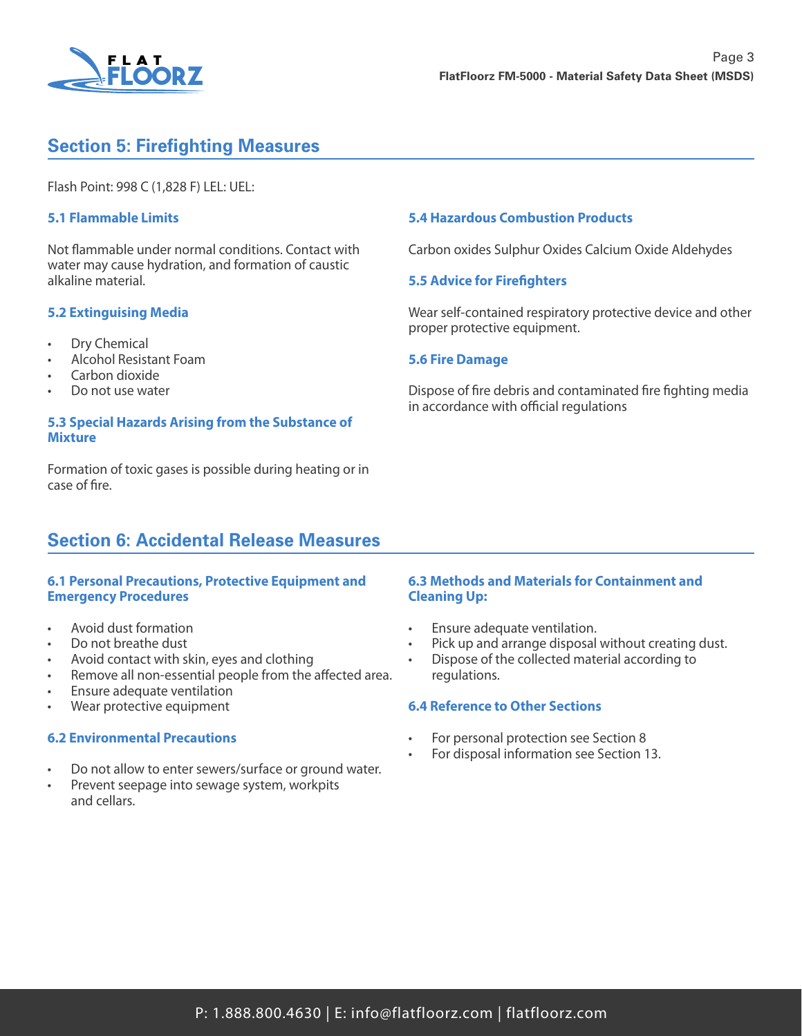

# **Section 5: Firefighting Measures**

Flash Point: 998 C (1,828 F) LEL: UEL:

#### **5.1 Flammable Limits**

Not flammable under normal conditions. Contact with water may cause hydration, and formation of caustic alkaline material.

#### **5.2 Extinguising Media**

- Dry Chemical
- Alcohol Resistant Foam
- Carbon dioxide
- Do not use water

#### **5.3 Special Hazards Arising from the Substance of Mixture**

Formation of toxic gases is possible during heating or in case of fire.

### **Section 6: Accidental Release Measures**

#### **6.1 Personal Precautions, Protective Equipment and Emergency Procedures**

- Avoid dust formation
- Do not breathe dust
- Avoid contact with skin, eyes and clothing
- Remove all non-essential people from the affected area.
- Ensure adequate ventilation
- Wear protective equipment

#### **6.2 Environmental Precautions**

- Do not allow to enter sewers/surface or ground water.
- Prevent seepage into sewage system, workpits and cellars.

#### **5.4 Hazardous Combustion Products**

Carbon oxides Sulphur Oxides Calcium Oxide Aldehydes

#### **5.5 Advice for Firefighters**

Wear self-contained respiratory protective device and other proper protective equipment.

#### **5.6 Fire Damage**

Dispose of fire debris and contaminated fire fighting media in accordance with official regulations

#### **6.3 Methods and Materials for Containment and Cleaning Up:**

- Ensure adequate ventilation.
- Pick up and arrange disposal without creating dust.
- Dispose of the collected material according to regulations.

#### **6.4 Reference to Other Sections**

- For personal protection see Section 8
- For disposal information see Section 13.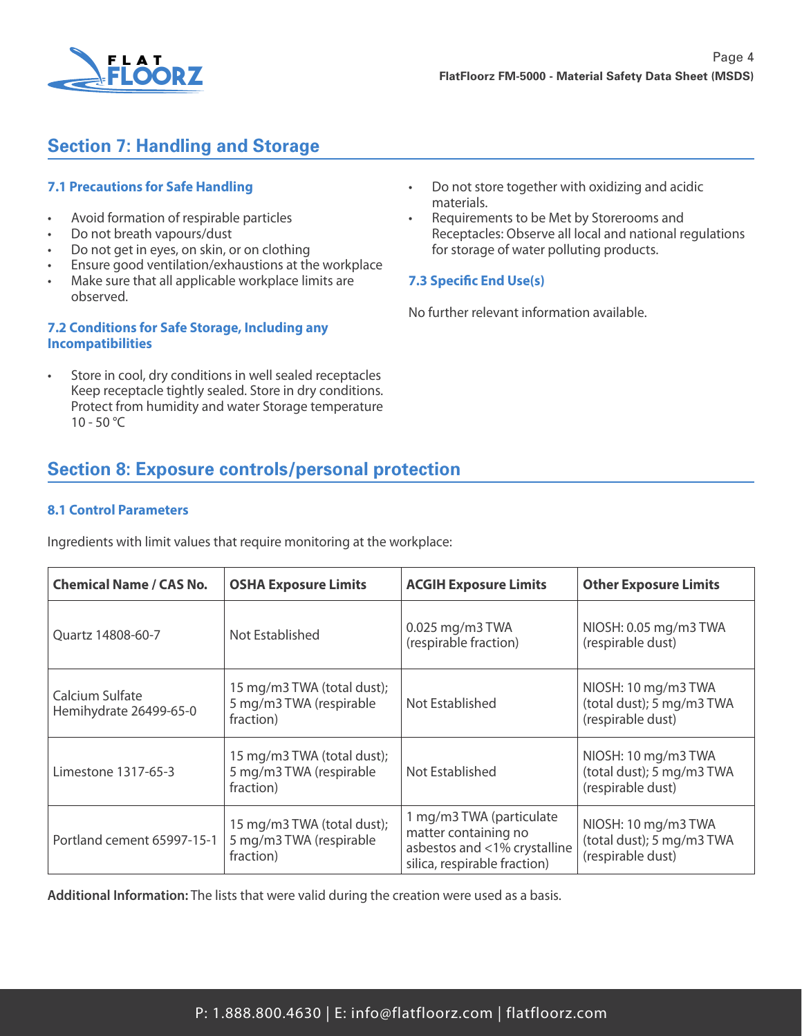

# **Section 7: Handling and Storage**

### **7.1 Precautions for Safe Handling**

- Avoid formation of respirable particles
- Do not breath vapours/dust
- Do not get in eyes, on skin, or on clothing
- Ensure good ventilation/exhaustions at the workplace
- Make sure that all applicable workplace limits are observed.

### **7.2 Conditions for Safe Storage, Including any Incompatibilities**

Store in cool, dry conditions in well sealed receptacles Keep receptacle tightly sealed. Store in dry conditions. Protect from humidity and water Storage temperature  $10 - 50 °C$ 

- Do not store together with oxidizing and acidic materials.
- Requirements to be Met by Storerooms and Receptacles: Observe all local and national regulations for storage of water polluting products.

### **7.3 Specific End Use(s)**

No further relevant information available.

# **Section 8: Exposure controls/personal protection**

### **8.1 Control Parameters**

Ingredients with limit values that require monitoring at the workplace:

| <b>Chemical Name / CAS No.</b>            | <b>OSHA Exposure Limits</b>                                        | <b>ACGIH Exposure Limits</b>                                                                                     | <b>Other Exposure Limits</b>                                          |
|-------------------------------------------|--------------------------------------------------------------------|------------------------------------------------------------------------------------------------------------------|-----------------------------------------------------------------------|
| Quartz 14808-60-7                         | Not Established                                                    | 0.025 mg/m3 TWA<br>(respirable fraction)                                                                         | NIOSH: 0.05 mg/m3 TWA<br>(respirable dust)                            |
| Calcium Sulfate<br>Hemihydrate 26499-65-0 | 15 mg/m3 TWA (total dust);<br>5 mg/m3 TWA (respirable<br>fraction) | Not Established                                                                                                  | NIOSH: 10 mg/m3 TWA<br>(total dust); 5 mg/m3 TWA<br>(respirable dust) |
| Limestone 1317-65-3                       | 15 mg/m3 TWA (total dust);<br>5 mg/m3 TWA (respirable<br>fraction) | Not Established                                                                                                  | NIOSH: 10 mg/m3 TWA<br>(total dust); 5 mg/m3 TWA<br>(respirable dust) |
| Portland cement 65997-15-1                | 15 mg/m3 TWA (total dust);<br>5 mg/m3 TWA (respirable<br>fraction) | 1 mg/m3 TWA (particulate<br>matter containing no<br>asbestos and <1% crystalline<br>silica, respirable fraction) | NIOSH: 10 mg/m3 TWA<br>(total dust); 5 mg/m3 TWA<br>(respirable dust) |

**Additional Information:** The lists that were valid during the creation were used as a basis.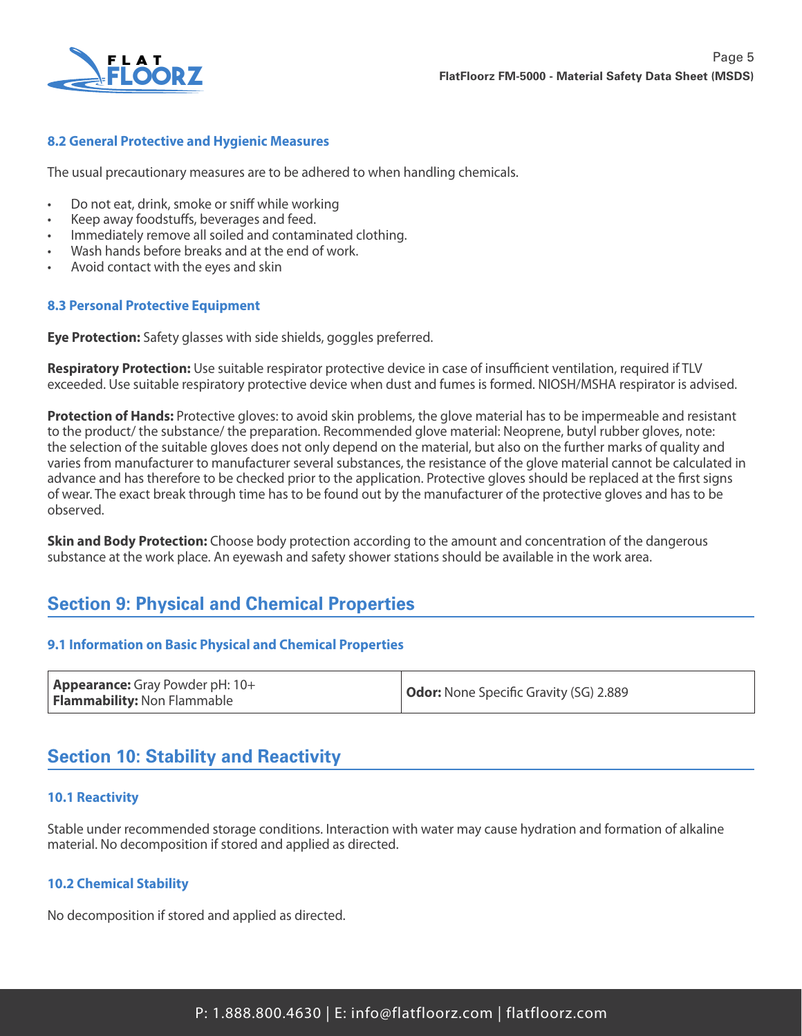

### **8.2 General Protective and Hygienic Measures**

The usual precautionary measures are to be adhered to when handling chemicals.

- Do not eat, drink, smoke or sniff while working
- Keep away foodstuffs, beverages and feed.
- Immediately remove all soiled and contaminated clothing.
- Wash hands before breaks and at the end of work.
- Avoid contact with the eyes and skin

### **8.3 Personal Protective Equipment**

**Eye Protection:** Safety glasses with side shields, goggles preferred.

**Respiratory Protection:** Use suitable respirator protective device in case of insufficient ventilation, required if TLV exceeded. Use suitable respiratory protective device when dust and fumes is formed. NIOSH/MSHA respirator is advised.

**Protection of Hands:** Protective gloves: to avoid skin problems, the glove material has to be impermeable and resistant to the product/ the substance/ the preparation. Recommended glove material: Neoprene, butyl rubber gloves, note: the selection of the suitable gloves does not only depend on the material, but also on the further marks of quality and varies from manufacturer to manufacturer several substances, the resistance of the glove material cannot be calculated in advance and has therefore to be checked prior to the application. Protective gloves should be replaced at the first signs of wear. The exact break through time has to be found out by the manufacturer of the protective gloves and has to be observed.

**Skin and Body Protection:** Choose body protection according to the amount and concentration of the dangerous substance at the work place. An eyewash and safety shower stations should be available in the work area.

## **Section 9: Physical and Chemical Properties**

#### **9.1 Information on Basic Physical and Chemical Properties**

## **Section 10: Stability and Reactivity**

#### **10.1 Reactivity**

Stable under recommended storage conditions. Interaction with water may cause hydration and formation of alkaline material. No decomposition if stored and applied as directed.

#### **10.2 Chemical Stability**

No decomposition if stored and applied as directed.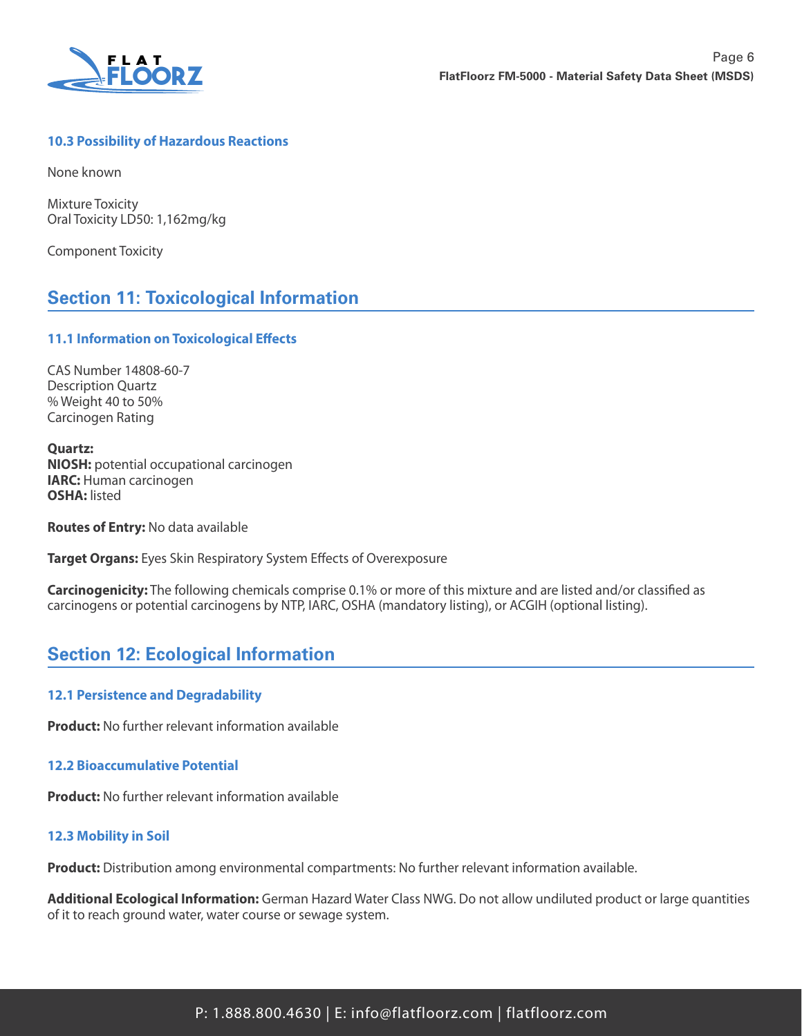

### **10.3 Possibility of Hazardous Reactions**

None known

Mixture Toxicity Oral Toxicity LD50: 1,162mg/kg

Component Toxicity

## **Section 11: Toxicological Information**

#### **11.1 Information on Toxicological Effects**

CAS Number 14808-60-7 Description Quartz % Weight 40 to 50% Carcinogen Rating

**Quartz: NIOSH:** potential occupational carcinogen **IARC:** Human carcinogen **OSHA:** listed

**Routes of Entry:** No data available

**Target Organs:** Eyes Skin Respiratory System Effects of Overexposure

**Carcinogenicity:** The following chemicals comprise 0.1% or more of this mixture and are listed and/or classified as carcinogens or potential carcinogens by NTP, IARC, OSHA (mandatory listing), or ACGIH (optional listing).

## **Section 12: Ecological Information**

#### **12.1 Persistence and Degradability**

**Product:** No further relevant information available

### **12.2 Bioaccumulative Potential**

**Product:** No further relevant information available

#### **12.3 Mobility in Soil**

**Product:** Distribution among environmental compartments: No further relevant information available.

**Additional Ecological Information:** German Hazard Water Class NWG. Do not allow undiluted product or large quantities of it to reach ground water, water course or sewage system.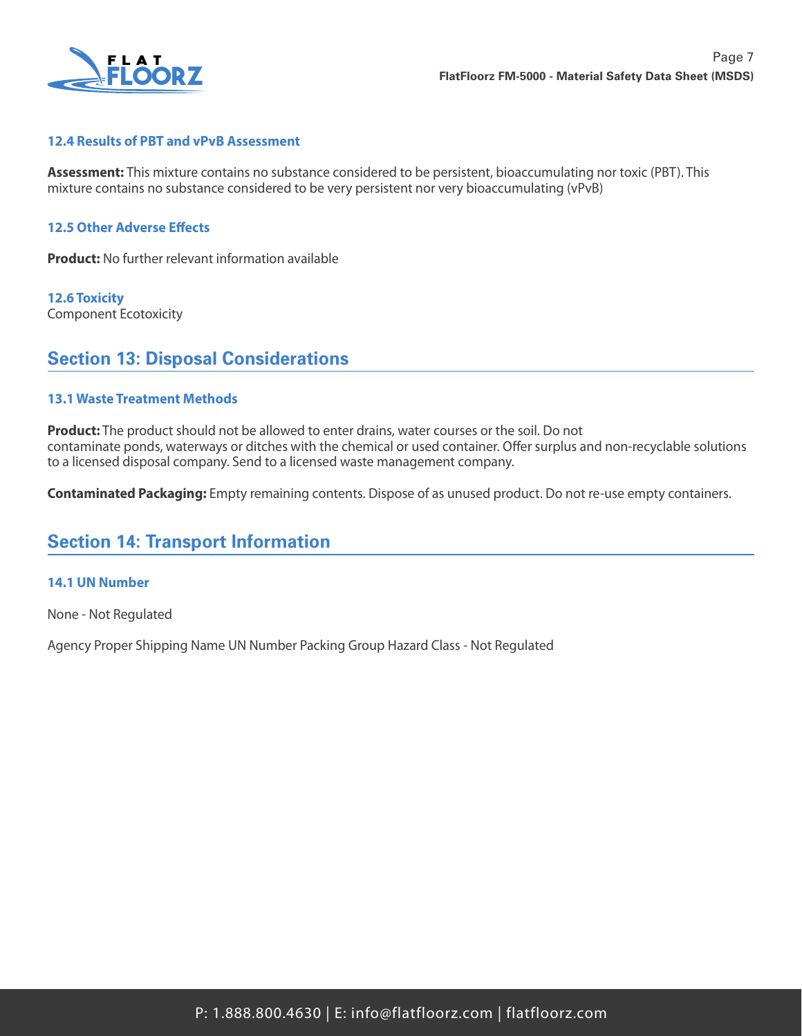

#### **12.4 Results of PBT and vPvB Assessment**

**Assessment:** This mixture contains no substance considered to be persistent, bioaccumulating nor toxic (PBT). This mixture contains no substance considered to be very persistent nor very bioaccumulating (vPvB)

#### **12.5 Other Adverse Effects**

**Product:** No further relevant information available

**12.6 Toxicity** Component Ecotoxicity

### **Section 13: Disposal Considerations**

#### **13.1 Waste Treatment Methods**

**Product:** The product should not be allowed to enter drains, water courses or the soil. Do not contaminate ponds, waterways or ditches with the chemical or used container. Offer surplus and non-recyclable solutions to a licensed disposal company. Send to a licensed waste management company.

**Contaminated Packaging:** Empty remaining contents. Dispose of as unused product. Do not re-use empty containers.

## **Section 14: Transport Information**

#### **14.1 UN Number**

None - Not Regulated

Agency Proper Shipping Name UN Number Packing Group Hazard Class - Not Regulated